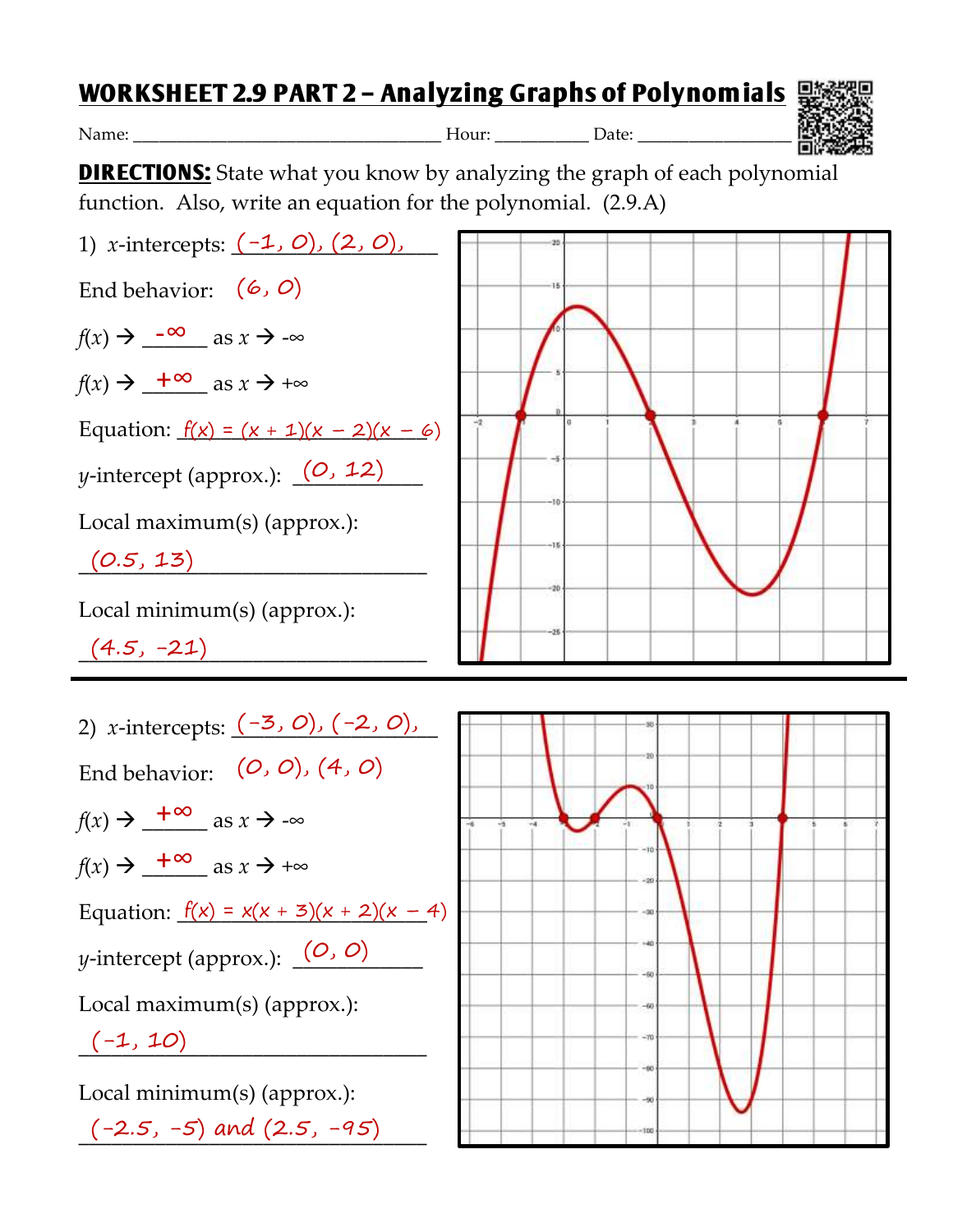## **WORKSHEET 2.9 PART 2 – Analyzing Graphs of Polynomials**

Name: \_\_\_\_\_\_\_\_\_\_\_\_\_\_\_\_\_\_\_\_\_\_\_\_\_\_\_\_\_\_\_\_\_\_\_\_ Hour: \_\_\_\_\_\_\_\_\_\_\_ Date: \_\_\_\_\_\_\_\_\_\_\_\_\_\_\_\_\_\_



**DIRECTIONS:** State what you know by analyzing the graph of each polynomial function. Also, write an equation for the polynomial. (2.9.A)



| 2) <i>x</i> -intercepts: $(-3, 0)$ , $(-2, 0)$ ,                      |
|-----------------------------------------------------------------------|
| End behavior: $(0, 0)$ , $(4, 0)$                                     |
| $f(x) \rightarrow \frac{+\infty}{-\infty}$ as $x \rightarrow -\infty$ |
| $f(x) \rightarrow \frac{+\infty}{-\infty}$ as $x \rightarrow +\infty$ |
| Equation: $f(x) = x(x + 3)(x + 2)(x - 4)$                             |
| y-intercept (approx.): $(0, 0)$                                       |
| Local maximum(s) (approx.):                                           |
| $(-1, 10)$                                                            |
| Local minimum(s) (approx.):                                           |

 $(-2.5, -5)$  and  $(2.5, -95)$